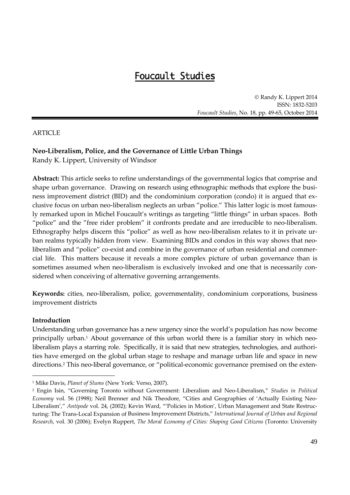# Foucault Studies

© Randy K. Lippert 2014 ISSN: 1832‐5203 *Foucault Studies*, No. 18, pp. 49‐65, October 2014

# ARTICLE

# **Neo‐Liberalism, Police, and the Governance of Little Urban Things**

Randy K. Lippert, University of Windsor

**Abstract:** This article seeks to refine understandings of the governmental logics that comprise and shape urban governance. Drawing on research using ethnographic methods that explore the business improvement district (BID) and the condominium corporation (condo) it is argued that ex‐ clusive focus on urban neo‐liberalism neglects an urban "police." This latter logic is most famous‐ ly remarked upon in Michel Foucault's writings as targeting "little things" in urban spaces. Both "police" and the "free rider problem" it confronts predate and are irreducible to neo‐liberalism. Ethnography helps discern this "police" as well as how neo-liberalism relates to it in private urban realms typically hidden from view. Examining BIDs and condos in this way shows that neoliberalism and "police" co-exist and combine in the governance of urban residential and commercial life. This matters because it reveals a more complex picture of urban governance than is sometimes assumed when neo-liberalism is exclusively invoked and one that is necessarily considered when conceiving of alternative governing arrangements.

**Keywords:** cities, neo‐liberalism, police, governmentality, condominium corporations, business improvement districts

## **Introduction**

 $\overline{a}$ 

Understanding urban governance has a new urgency since the world's population has now become principally urban.<sup>1</sup> About governance of this urban world there is a familiar story in which neoliberalism plays a starring role. Specifically, it is said that new strategies, technologies, and authorities have emerged on the global urban stage to reshape and manage urban life and space in new directions.<sup>2</sup> This neo-liberal governance, or "political-economic governance premised on the exten-

<sup>1</sup> Mike Davis, *Planet of Slums* (New York: Verso, 2007).

<sup>2</sup> Engin Isin, "Governing Toronto without Government: Liberalism and Neo‐Liberalism," *Studies in Political Economy* vol. 56 (1998); Neil Brenner and Nik Theodore, "Cities and Geographies of 'Actually Existing Neo‐ Liberalism'," *Antipode* vol. 24, (2002); Kevin Ward, "'Policies in Motion', Urban Management and State Restruc‐ turing: The Trans‐Local Expansion of Business Improvement Districts," *International Journal of Urban and Regional Research*, vol. 30 (2006); Evelyn Ruppert, *The Moral Economy of Cities: Shaping Good Citizens* (Toronto: University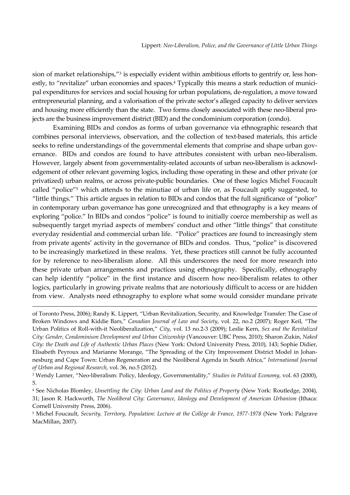sion of market relationships,"<sup>3</sup> is especially evident within ambitious efforts to gentrify or, less honestly, to "revitalize" urban economies and spaces.<sup>4</sup> Typically this means a stark reduction of municipal expenditures for services and social housing for urban populations, de-regulation, a move toward entrepreneurial planning, and a valorisation of the private sector's alleged capacity to deliver services and housing more efficiently than the state. Two forms closely associated with these neo-liberal projects are the business improvement district (BID) and the condominium corporation (condo).

Examining BIDs and condos as forms of urban governance via ethnographic research that combines personal interviews, observation, and the collection of text-based materials, this article seeks to refine understandings of the governmental elements that comprise and shape urban governance. BIDs and condos are found to have attributes consistent with urban neo-liberalism. However, largely absent from governmentality-related accounts of urban neo-liberalism is acknowledgement of other relevant governing logics, including those operating in these and other private (or privatized) urban realms, or across private‐public boundaries. One of these logics Michel Foucault called "police"5 which attends to the minutiae of urban life or, as Foucault aptly suggested, to "little things." This article argues in relation to BIDs and condos that the full significance of "police" in contemporary urban governance has gone unrecognized and that ethnography is a key means of exploring "police." In BIDs and condos "police" is found to initially coerce membership as well as subsequently target myriad aspects of members' conduct and other "little things" that constitute everyday residential and commercial urban life. "Police" practices are found to increasingly stem from private agents' activity in the governance of BIDs and condos. Thus, "police" is discovered to be increasingly marketized in these realms. Yet, these practices still cannot be fully accounted for by reference to neo-liberalism alone. All this underscores the need for more research into these private urban arrangements and practices using ethnography. Specifically, ethnography can help identify "police" in the first instance and discern how neo-liberalism relates to other logics, particularly in growing private realms that are notoriously difficult to access or are hidden from view. Analysts need ethnography to explore what some would consider mundane private

of Toronto Press, 2006); Randy K. Lippert, "Urban Revitalization, Security, and Knowledge Transfer: The Case of Broken Windows and Kiddie Bars," *Canadian Journal of Law and Society*, vol. 22, no.2 (2007); Roger Keil, "The Urban Politics of Roll‐with‐it Neoliberalization," *City*, vol. 13 no.2‐3 (2009); Leslie Kern, *Sex and the Revitalized City: Gender, Condominium Development and Urban Citizenship* (Vancouver: UBC Press, 2010); Sharon Zukin, *Naked City: the Death and Life of Authentic Urban Places* (New York: Oxford University Press, 2010), 143; Sophie Didier, Elisabeth Peyroux and Marianne Morange, "The Spreading of the City Improvement District Model in Johannesburg and Cape Town: Urban Regeneration and the Neoliberal Agenda in South Africa," *International Journal of Urban and Regional Research*, vol. 36, no.5 (2012).

<sup>3</sup> Wendy Larner, "Neo‐liberalism: Policy, Ideology, Governmentality," *Studies in Political Economy*, vol. 63 (2000), 5.

<sup>4</sup> See Nicholas Blomley, *Unsettling the City: Urban Land and the Politics of Property* (New York: Routledge, 2004), 31; Jason R. Hackworth, *The Neoliberal City: Governance, Ideology and Development of American Urbanism* (Ithaca: Cornell University Press, 2006).

<sup>5</sup> Michel Foucault, *Security, Territory, Population: Lecture at the Collège de France, 1977‐1978* (New York: Palgrave MacMillan, 2007).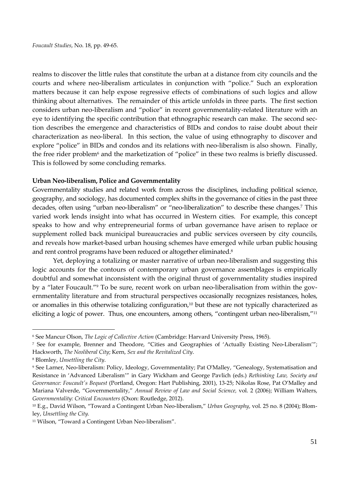realms to discover the little rules that constitute the urban at a distance from city councils and the courts and where neo‐liberalism articulates in conjunction with "police." Such an exploration matters because it can help expose regressive effects of combinations of such logics and allow thinking about alternatives. The remainder of this article unfolds in three parts. The first section considers urban neo‐liberalism and "police" in recent governmentality‐related literature with an eye to identifying the specific contribution that ethnographic research can make. The second section describes the emergence and characteristics of BIDs and condos to raise doubt about their characterization as neo‐liberal. In this section, the value of using ethnography to discover and explore "police" in BIDs and condos and its relations with neo-liberalism is also shown. Finally, the free rider problem<sup>6</sup> and the marketization of "police" in these two realms is briefly discussed. This is followed by some concluding remarks.

## **Urban Neo‐liberalism, Police and Governmentality**

Governmentality studies and related work from across the disciplines, including political science, geography, and sociology, has documented complex shifts in the governance of cities in the past three decades, often using "urban neo-liberalism" or "neo-liberalization" to describe these changes.<sup>7</sup> This varied work lends insight into what has occurred in Western cities. For example, this concept speaks to how and why entrepreneurial forms of urban governance have arisen to replace or supplement rolled back municipal bureaucracies and public services overseen by city councils, and reveals how market-based urban housing schemes have emerged while urban public housing and rent control programs have been reduced or altogether eliminated.<sup>8</sup>

Yet, deploying a totalizing or master narrative of urban neo-liberalism and suggesting this logic accounts for the contours of contemporary urban governance assemblages is empirically doubtful and somewhat inconsistent with the original thrust of governmentality studies inspired by a "later Foucault."<sup>9</sup> To be sure, recent work on urban neo-liberalisation from within the governmentality literature and from structural perspectives occasionally recognizes resistances, holes, or anomalies in this otherwise totalizing configuration,<sup>10</sup> but these are not typically characterized as eliciting a logic of power. Thus, one encounters, among others, "contingent urban neo-liberalism,"<sup>11</sup>

 $\overline{a}$ 

<sup>6</sup> See Mancur Olson, *The Logic of Collective Action* (Cambridge: Harvard University Press, 1965).

<sup>7</sup> See for example, Brenner and Theodore, "Cities and Geographies of 'Actually Existing Neo‐Liberalism'"; Hackworth, *The Neoliberal City*; Kern, *Sex and the Revitalized City*.

<sup>8</sup> Blomley, *Unsettling the City*.

<sup>9</sup> See Larner, Neo‐liberalism: Policy, Ideology, Governmentality; Pat OʹMalley, "Genealogy, Systematisation and Resistance in 'Advanced Liberalism'" in Gary Wickham and George Pavlich (eds.) *Rethinking Law, Society and Governance: Foucaultʹs Bequest* (Portland, Oregon: Hart Publishing, 2001), 13‐25; Nikolas Rose, Pat O'Malley and Mariana Valverde, "Governmentality," *Annual Review of Law and Social Science,* vol. 2 (2006); William Walters, *Governmentality: Critical Encounters* (Oxon: Routledge, 2012).

<sup>10</sup> E.g., David Wilson, "Toward a Contingent Urban Neo‐liberalism," *Urban Geography*, vol. 25 no. 8 (2004); Blom‐ ley, *Unsettling the City.*

<sup>&</sup>lt;sup>11</sup> Wilson, "Toward a Contingent Urban Neo-liberalism".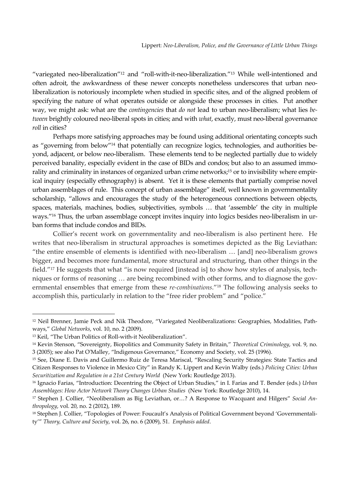"variegated neo-liberalization"<sup>12</sup> and "roll-with-it-neo-liberalization."<sup>13</sup> While well-intentioned and often adroit, the awkwardness of these newer concepts nonetheless underscores that urban neoliberalization is notoriously incomplete when studied in specific sites, and of the aligned problem of specifying the nature of what operates outside or alongside these processes in cities. Put another way, we might ask: what are the *contingencies* that *do not* lead to urban neo-liberalism; what lies *between* brightly coloured neo‐liberal spots in cities; and with *what*, exactly, must neo‐liberal governance *roll* in cities?

Perhaps more satisfying approaches may be found using additional orientating concepts such as "governing from below"<sup>14</sup> that potentially can recognize logics, technologies, and authorities beyond, adjacent, or below neo-liberalism. These elements tend to be neglected partially due to widely perceived banality, especially evident in the case of BIDs and condos; but also to an assumed immorality and criminality in instances of organized urban crime networks;<sup>15</sup> or to invisibility where empirical inquiry (especially ethnography) is absent. Yet it is these elements that partially comprise novel urban assemblages of rule. This concept of urban assemblage" itself, well known in governmentality scholarship, "allows and encourages the study of the heterogeneous connections between objects, spaces, materials, machines, bodies, subjectivities, symbols … that 'assemble' the city in multiple ways."<sup>16</sup> Thus, the urban assemblage concept invites inquiry into logics besides neo-liberalism in urban forms that include condos and BIDs.

Collier's recent work on governmentality and neo-liberalism is also pertinent here. He writes that neo-liberalism in structural approaches is sometimes depicted as the Big Leviathan: "the entire ensemble of elements is identified with neo‐liberalism … [and] neo‐liberalism grows bigger, and becomes more fundamental, more structural and structuring, than other things in the field."<sup>17</sup> He suggests that what "is now required [instead is] to show how styles of analysis, techniques or forms of reasoning ... are being recombined with other forms, and to diagnose the governmental ensembles that emerge from these *re-combinations*."<sup>18</sup> The following analysis seeks to accomplish this, particularly in relation to the "free rider problem" and "police."

-

<sup>12</sup> Neil Brenner, Jamie Peck and Nik Theodore, "Variegated Neoliberalizations: Geographies, Modalities, Path‐ ways," *Global Networks*, vol. 10, no. 2 (2009).

<sup>13</sup> Keil, "The Urban Politics of Roll‐with‐it Neoliberalization".

<sup>14</sup> Kevin Stenson, "Sovereignty, Biopolitics and Community Safety in Britain," *Theoretical Criminology*, vol. 9, no. 3 (2005); see also Pat OʹMalley, "Indigenous Governance," Economy and Society, vol. 25 (1996).

<sup>15</sup> See, Diane E. Davis and Guillermo Ruiz de Teresa Mariscal, "Rescaling Security Strategies: State Tactics and Citizen Responses to Violence in Mexico City" in Randy K. Lippert and Kevin Walby (eds.) *Policing Cities: Urban Securitization and Regulation in a 21st Century World* (New York: Routledge 2013).

<sup>16</sup> Ignacio Farias, "Introduction: Decentring the Object of Urban Studies," in I. Farias and T. Bender (eds.) *Urban Assemblages: How Actor Network Theory Changes Urban Studies* (New York: Routledge 2010), 14.

<sup>17</sup> Stephen J. Collier, "Neoliberalism as Big Leviathan, or…? A Response to Wacquant and Hilgers" *Social An‐ thropology*, vol. 20, no. 2 (2012), 189.

<sup>&</sup>lt;sup>18</sup> Stephen J. Collier, "Topologies of Power: Foucault's Analysis of Political Government beyond 'Governmentality'" *Theory, Culture and Society*, vol. 26, no. 6 (2009), 51. *Emphasis added*.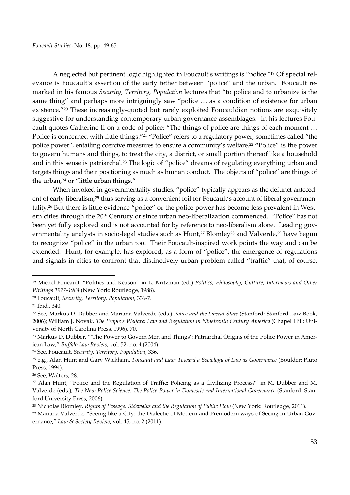A neglected but pertinent logic highlighted in Foucault's writings is "police."19 Of special rel‐ evance is Foucault's assertion of the early tether between "police" and the urban. Foucault remarked in his famous *Security, Territory, Population* lectures that "to police and to urbanize is the same thing" and perhaps more intriguingly saw "police … as a condition of existence for urban existence."20 These increasingly‐quoted but rarely exploited Foucauldian notions are exquisitely suggestive for understanding contemporary urban governance assemblages. In his lectures Foucault quotes Catherine II on a code of police: "The things of police are things of each moment … Police is concerned with little things."<sup>21</sup> "Police" refers to a regulatory power, sometimes called "the police power", entailing coercive measures to ensure a community's welfare.22 **"**Police" is the power to govern humans and things, to treat the city, a district, or small portion thereof like a household and in this sense is patriarchal.23 The logic of "police" dreams of regulating everything urban and targets things and their positioning as much as human conduct. The objects of "police" are things of the urban,<sup>24</sup> or "little urban things."

When invoked in governmentality studies, "police" typically appears as the defunct antecedent of early liberalism,<sup>25</sup> thus serving as a convenient foil for Foucault's account of liberal governmentality.<sup>26</sup> But there is little evidence "police" or the police power has become less prevalent in Western cities through the 20<sup>th</sup> Century or since urban neo-liberalization commenced. "Police" has not been yet fully explored and is not accounted for by reference to neo-liberalism alone. Leading governmentality analysts in socio-legal studies such as Hunt,<sup>27</sup> Blomley<sup>28</sup> and Valverde,<sup>29</sup> have begun to recognize "police" in the urban too. Their Foucault‐inspired work points the way and can be extended. Hunt, for example, has explored, as a form of "police", the emergence of regulations and signals in cities to confront that distinctively urban problem called "traffic" that, of course,

<sup>19</sup> Michel Foucault, "Politics and Reason" in L. Kritzman (ed.) *Politics, Philosophy, Culture, Interviews and Other Writings 1977‐1984* (New York: Routledge, 1988).

<sup>20</sup> Foucault, *Security, Territory, Population*, 336‐7.

<sup>21</sup> Ibid., 340.

<sup>22</sup> See, Markus D. Dubber and Mariana Valverde (eds.) *Police and the Liberal State* (Stanford: Stanford Law Book, 2006); William J. Novak, *The People's Welfare: Law and Regulation in Nineteenth Century America* (Chapel Hill: Uni‐ versity of North Carolina Press, 1996), 70.

<sup>23</sup> Markus D. Dubber, "'The Power to Govern Men and Things': Patriarchal Origins of the Police Power in Amer‐ ican Law," *Buffalo Law Review*, vol. 52, no. 4 (2004).

<sup>24</sup> See, Foucault, *Security, Territory, Population*, 336.

<sup>25</sup> e.g., Alan Hunt and Gary Wickham, *Foucault and Law: Toward a Sociology of Law as Governance* (Boulder: Pluto Press, 1994).

<sup>26</sup> See, Walters, 28.

<sup>27</sup> Alan Hunt, "Police and the Regulation of Traffic: Policing as a Civilizing Process?" in M. Dubber and M. Valverde (eds.), *The New Police Science: The Police Power in Domestic and International Governance* (Stanford: Stan‐ ford University Press, 2006).

<sup>28</sup> Nicholas Blomley, *Rights of Passage: Sidewalks and the Regulation of Public Flow* (New York: Routledge, 2011).

<sup>29</sup> Mariana Valverde, "Seeing like a City: the Dialectic of Modern and Premodern ways of Seeing in Urban Gov‐ ernance," *Law & Society Review*, vol. 45, no. 2 (2011).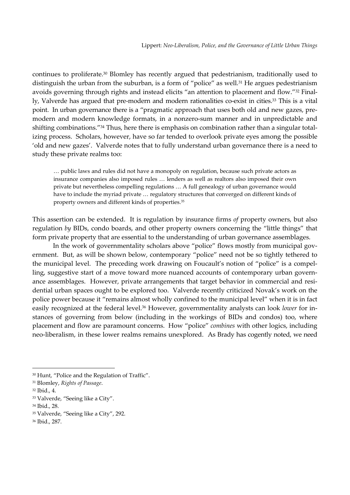continues to proliferate.30 Blomley has recently argued that pedestrianism, traditionally used to distinguish the urban from the suburban, is a form of "police" as well.<sup>31</sup> He argues pedestrianism avoids governing through rights and instead elicits "an attention to placement and flow."<sup>32</sup> Finally, Valverde has argued that pre-modern and modern rationalities co-exist in cities.<sup>33</sup> This is a vital point. In urban governance there is a "pragmatic approach that uses both old and new gazes, premodern and modern knowledge formats, in a nonzero‐sum manner and in unpredictable and shifting combinations."<sup>34</sup> Thus, here there is emphasis on combination rather than a singular totalizing process. Scholars, however, have so far tended to overlook private eyes among the possible 'old and new gazes'. Valverde notes that to fully understand urban governance there is a need to study these private realms too:

… public laws and rules did not have a monopoly on regulation, because such private actors as insurance companies also imposed rules … lenders as well as realtors also imposed their own private but nevertheless compelling regulations … A full genealogy of urban governance would have to include the myriad private … regulatory structures that converged on different kinds of property owners and different kinds of properties.35

This assertion can be extended. It is regulation by insurance firms *of* property owners, but also regulation *by* BIDs, condo boards, and other property owners concerning the "little things" that form private property that are essential to the understanding of urban governance assemblages.

In the work of governmentality scholars above "police" flows mostly from municipal government. But, as will be shown below, contemporary "police" need not be so tightly tethered to the municipal level. The preceding work drawing on Foucault's notion of "police" is a compelling, suggestive start of a move toward more nuanced accounts of contemporary urban governance assemblages. However, private arrangements that target behavior in commercial and residential urban spaces ought to be explored too. Valverde recently criticized Novak's work on the police power because it "remains almost wholly confined to the municipal level" when it is in fact easily recognized at the federal level.<sup>36</sup> However, governmentality analysts can look *lower* for instances of governing from below (including in the workings of BIDs and condos) too, where placement and flow are paramount concerns. How "police" *combines* with other logics, including neo-liberalism, in these lower realms remains unexplored. As Brady has cogently noted, we need

-

<sup>30</sup> Hunt, "Police and the Regulation of Traffic".

<sup>31</sup> Blomley, *Rights of Passage*.

<sup>32</sup> Ibid., 4.

<sup>33</sup> Valverde, "Seeing like a City".

<sup>34</sup> Ibid., 28.

<sup>35</sup> Valverde, "Seeing like a City", 292.

<sup>36</sup> Ibid., 287.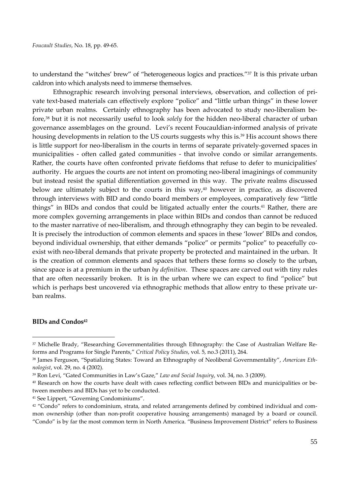to understand the "witches' brew" of "heterogeneous logics and practices."37 It is this private urban caldron into which analysts need to immerse themselves.

Ethnographic research involving personal interviews, observation, and collection of private text-based materials can effectively explore "police" and "little urban things" in these lower private urban realms. Certainly ethnography has been advocated to study neo-liberalism before,38 but it is not necessarily useful to look *solely* for the hidden neo‐liberal character of urban governance assemblages on the ground. Levi's recent Foucauldian‐informed analysis of private housing developments in relation to the US courts suggests why this is.<sup>39</sup> His account shows there is little support for neo-liberalism in the courts in terms of separate privately-governed spaces in municipalities - often called gated communities - that involve condo or similar arrangements. Rather, the courts have often confronted private fiefdoms that refuse to defer to municipalities' authority. He argues the courts are not intent on promoting neo‐liberal imaginings of community but instead resist the spatial differentiation governed in this way. The private realms discussed below are ultimately subject to the courts in this way, $40$  however in practice, as discovered through interviews with BID and condo board members or employees, comparatively few "little things" in BIDs and condos that could be litigated actually enter the courts.41 Rather, there are more complex governing arrangements in place within BIDs and condos than cannot be reduced to the master narrative of neo‐liberalism, and through ethnography they can begin to be revealed. It is precisely the introduction of common elements and spaces in these 'lower' BIDs and condos, beyond individual ownership, that either demands "police" or permits "police" to peacefully coexist with neo-liberal demands that private property be protected and maintained in the urban. It is the creation of common elements and spaces that tethers these forms so closely to the urban, since space is at a premium in the urban *by definition*. These spaces are carved out with tiny rules that are often necessarily broken. It is in the urban where we can expect to find "police" but which is perhaps best uncovered via ethnographic methods that allow entry to these private urban realms.

#### **BIDs and Condos42**

<sup>37</sup> Michelle Brady, "Researching Governmentalities through Ethnography: the Case of Australian Welfare Re‐ forms and Programs for Single Parents," *Critical Policy Studies*, vol. 5, no.3 (2011), 264.

<sup>38</sup> James Ferguson, "Spatializing States: Toward an Ethnography of Neoliberal Governmentality", *American Eth‐ nologist*, vol. 29, no. 4 (2002).

<sup>39</sup> Ron Levi, "Gated Communities in Law's Gaze," *Law and Social Inquiry*, vol. 34, no. 3 (2009).

<sup>40</sup> Research on how the courts have dealt with cases reflecting conflict between BIDs and municipalities or between members and BIDs has yet to be conducted.

<sup>41</sup> See Lippert, "Governing Condominiums".

 $42$  "Condo" refers to condominium, strata, and related arrangements defined by combined individual and common ownership (other than non-profit cooperative housing arrangements) managed by a board or council. "Condo" is by far the most common term in North America. "Business Improvement District" refers to Business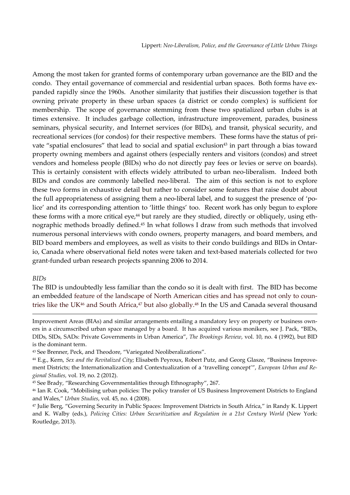Among the most taken for granted forms of contemporary urban governance are the BID and the condo. They entail governance of commercial and residential urban spaces. Both forms have expanded rapidly since the 1960s. Another similarity that justifies their discussion together is that owning private property in these urban spaces (a district or condo complex) is sufficient for membership. The scope of governance stemming from these two spatialized urban clubs is at times extensive. It includes garbage collection, infrastructure improvement, parades, business seminars, physical security, and Internet services (for BIDs), and transit, physical security, and recreational services (for condos) for their respective members. These forms have the status of private "spatial enclosures" that lead to social and spatial exclusion<sup>43</sup> in part through a bias toward property owning members and against others (especially renters and visitors (condos) and street vendors and homeless people (BIDs) who do not directly pay fees or levies or serve on boards). This is certainly consistent with effects widely attributed to urban neo-liberalism. Indeed both BIDs and condos are commonly labelled neo-liberal. The aim of this section is not to explore these two forms in exhaustive detail but rather to consider some features that raise doubt about the full appropriateness of assigning them a neo-liberal label, and to suggest the presence of 'police' and its corresponding attention to 'little things' too. Recent work has only begun to explore these forms with a more critical eye,<sup>44</sup> but rarely are they studied, directly or obliquely, using ethnographic methods broadly defined.45 In what follows I draw from such methods that involved numerous personal interviews with condo owners, property managers, and board members, and BID board members and employees, as well as visits to their condo buildings and BIDs in Ontario, Canada where observational field notes were taken and text-based materials collected for two grant‐funded urban research projects spanning 2006 to 2014.

#### *BIDs*

-

The BID is undoubtedly less familiar than the condo so it is dealt with first. The BID has become an embedded feature of the landscape of North American cities and has spread not only to countries like the UK<sup>46</sup> and South Africa,<sup>47</sup> but also globally.<sup>48</sup> In the US and Canada several thousand

Improvement Areas (BIAs) and similar arrangements entailing a mandatory levy on property or business owners in a circumscribed urban space managed by a board. It has acquired various monikers, see J. Pack, "BIDs, DIDs, SIDs, SADs: Private Governments in Urban America", *The Brookings Review*, vol. 10, no. 4 (1992), but BID is the dominant term.

<sup>43</sup> See Brenner, Peck, and Theodore, "Variegated Neoliberalizations".

<sup>44</sup> E.g., Kern, *Sex and the Revitalized City*; Elisabeth Peyroux, Robert Putz, and Georg Glasze, "Business Improve‐ ment Districts; the Internationalization and Contextualization of a 'travelling concept'", *European Urban and Re‐ gional Studies,* vol. 19, no. 2 (2012).

<sup>45</sup> See Brady, "Researching Governmentalities through Ethnography", 267.

<sup>47</sup> Julie Berg, "Governing Security in Public Spaces: Improvement Districts in South Africa," in Randy K. Lippert and K. Walby (eds.), *Policing Cities: Urban Securitization and Regulation in a 21st Century World* (New York: Routledge, 2013).

<sup>46</sup> Ian R. Cook, "Mobilising urban policies: The policy transfer of US Business Improvement Districts to England and Wales," *Urban Studies*, vol. 45, no. 4 (2008).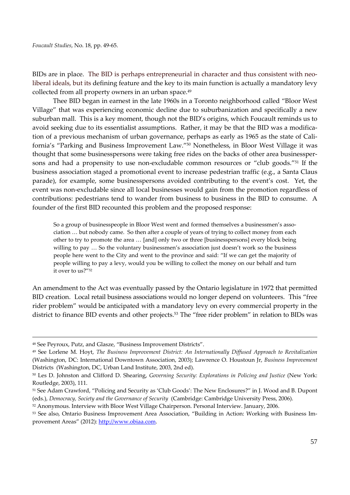BIDs are in place. The BID is perhaps entrepreneurial in character and thus consistent with neoliberal ideals, but its defining feature and the key to its main function is actually a mandatory levy collected from all property owners in an urban space.<sup>49</sup>

Thee BID began in earnest in the late 1960s in a Toronto neighborhood called "Bloor West Village" that was experiencing economic decline due to suburbanization and specifically a new suburban mall. This is a key moment, though not the BID's origins, which Foucault reminds us to avoid seeking due to its essentialist assumptions. Rather, it may be that the BID was a modification of a previous mechanism of urban governance, perhaps as early as 1965 as the state of California's "Parking and Business Improvement Law."50 Nonetheless, in Bloor West Village it was thought that some businesspersons were taking free rides on the backs of other area businessper‐ sons and had a propensity to use non-excludable common resources or "club goods."<sup>51</sup> If the business association staged a promotional event to increase pedestrian traffic (e.g., a Santa Claus parade), for example, some businesspersons avoided contributing to the event's cost. Yet, the event was non-excludable since all local businesses would gain from the promotion regardless of contributions: pedestrians tend to wander from business to business in the BID to consume. A founder of the first BID recounted this problem and the proposed response:

So a group of businesspeople in Bloor West went and formed themselves a businessmen's association … but nobody came. So then after a couple of years of trying to collect money from each other to try to promote the area … [and] only two or three [businesspersons] every block being willing to pay … So the voluntary businessmen's association just doesn't work so the business people here went to the City and went to the province and said: "If we can get the majority of people willing to pay a levy, would you be willing to collect the money on our behalf and turn it over to us?"52

An amendment to the Act was eventually passed by the Ontario legislature in 1972 that permitted BID creation. Local retail business associations would no longer depend on volunteers. This "free rider problem" would be anticipated with a mandatory levy on every commercial property in the district to finance BID events and other projects.<sup>53</sup> The "free rider problem" in relation to BIDs was

1

<sup>51</sup> See Adam Crawford, "Policing and Security as 'Club Goods': The New Enclosures?" in J. Wood and B. Dupont (eds.), *Democracy, Society and the Governance of Security* (Cambridge: Cambridge University Press, 2006).

<sup>48</sup> See Peyroux, Putz, and Glasze, "Business Improvement Districts".

<sup>49</sup> See Lorlene M. Hoyt, *The Business Improvement District: An Internationally Diffused Approach to Revitalization* (Washington, DC: International Downtown Association, 2003); Lawrence O. Houstoun Jr, *Business Improvement* Districts (Washington, DC, Urban Land Institute, 2003, 2nd ed).

<sup>50</sup> Les D. Johnston and Clifford D. Shearing, *Governing Security: Explorations in Policing and Justice* (New York: Routledge, 2003), 111.

<sup>52</sup> Anonymous. Interview with Bloor West Village Chairperson. Personal Interview. January, 2006.

<sup>53</sup> See also, Ontario Business Improvement Area Association, "Building in Action: Working with Business Improvement Areas" (2012): http://www.obiaa.com.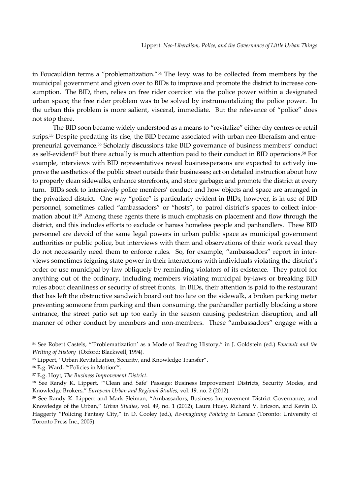in Foucauldian terms a "problematization."54 The levy was to be collected from members by the municipal government and given over to BIDs to improve and promote the district to increase consumption. The BID, then, relies on free rider coercion via the police power within a designated urban space; the free rider problem was to be solved by instrumentalizing the police power. In the urban this problem is more salient, visceral, immediate. But the relevance of "police" does not stop there.

The BID soon became widely understood as a means to "revitalize" either city centres or retail strips.<sup>55</sup> Despite predating its rise, the BID became associated with urban neo-liberalism and entrepreneurial governance.56 Scholarly discussions take BID governance of business members' conduct as self-evident<sup>57</sup> but there actually is much attention paid to their conduct in BID operations.<sup>58</sup> For example, interviews with BID representatives reveal businesspersons are expected to actively improve the aesthetics of the public street outside their businesses; act on detailed instruction about how to properly clean sidewalks, enhance storefronts, and store garbage; and promote the district at every turn. BIDs seek to intensively police members' conduct and how objects and space are arranged in the privatized district. One way "police" is particularly evident in BIDs, however, is in use of BID personnel, sometimes called "ambassadors" or "hosts", to patrol district's spaces to collect information about it.59 Among these agents there is much emphasis on placement and flow through the district, and this includes efforts to exclude or harass homeless people and panhandlers. These BID personnel are devoid of the same legal powers in urban public space as municipal government authorities or public police, but interviews with them and observations of their work reveal they do not necessarily need them to enforce rules. So, for example, "ambassadors" report in interviews sometimes feigning state power in their interactions with individuals violating the district's order or use municipal by‐law obliquely by reminding violators of its existence. They patrol for anything out of the ordinary, including members violating municipal by‐laws or breaking BID rules about cleanliness or security of street fronts. In BIDs, their attention is paid to the restaurant that has left the obstructive sandwich board out too late on the sidewalk, a broken parking meter preventing someone from parking and then consuming, the panhandler partially blocking a store entrance, the street patio set up too early in the season causing pedestrian disruption, and all manner of other conduct by members and non-members. These "ambassadors" engage with a

<sup>54</sup> See Robert Castels, "'Problematization' as a Mode of Reading History," in J. Goldstein (ed.) *Foucault and the Writing of History* (Oxford: Blackwell, 1994).

<sup>&</sup>lt;sup>55</sup> Lippert, "Urban Revitalization, Security, and Knowledge Transfer".

<sup>56</sup> E.g. Ward, "'Policies in Motion'".

<sup>57</sup> E.g. Hoyt, *The Business Improvement District*.

<sup>58</sup> See Randy K. Lippert, "'Clean and Safe' Passage: Business Improvement Districts, Security Modes, and Knowledge Brokers," *European Urban and Regional Studies*, vol. 19, no. 2 (2012).

<sup>59</sup> See Randy K. Lippert and Mark Sleiman, "Ambassadors, Business Improvement District Governance, and Knowledge of the Urban," *Urban Studies*, vol. 49, no. 1 (2012); Laura Huey, Richard V. Ericson, and Kevin D. Haggerty "Policing Fantasy City," in D. Cooley (ed.), *Re‐imagining Policing in Canada* (Toronto: University of Toronto Press Inc., 2005).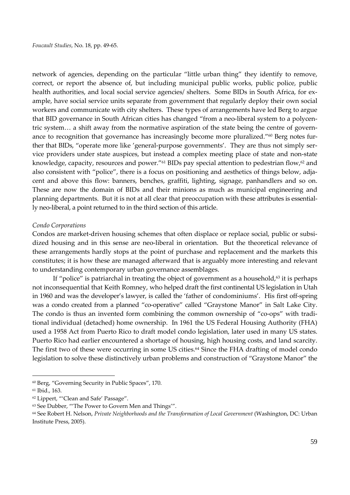network of agencies, depending on the particular "little urban thing" they identify to remove, correct, or report the absence of, but including municipal public works, public police, public health authorities, and local social service agencies/ shelters. Some BIDs in South Africa, for example, have social service units separate from government that regularly deploy their own social workers and communicate with city shelters. These types of arrangements have led Berg to argue that BID governance in South African cities has changed "from a neo-liberal system to a polycentric system... a shift away from the normative aspiration of the state being the centre of governance to recognition that governance has increasingly become more pluralized."<sup>60</sup> Berg notes further that BIDs, "operate more like 'general-purpose governments'. They are thus not simply service providers under state auspices, but instead a complex meeting place of state and non‐state knowledge, capacity, resources and power."<sup>61</sup> BIDs pay special attention to pedestrian flow,<sup>62</sup> and also consistent with "police", there is a focus on positioning and aesthetics of things below, adjacent and above this flow: banners, benches, graffiti, lighting, signage, panhandlers and so on. These are now the domain of BIDs and their minions as much as municipal engineering and planning departments. But it is not at all clear that preoccupation with these attributes is essential‐ ly neo‐liberal, a point returned to in the third section of this article.

#### *Condo Corporations*

Condos are market-driven housing schemes that often displace or replace social, public or subsidized housing and in this sense are neo-liberal in orientation. But the theoretical relevance of these arrangements hardly stops at the point of purchase and replacement and the markets this constitutes; it is how these are managed afterward that is arguably more interesting and relevant to understanding contemporary urban governance assemblages.

If "police" is patriarchal in treating the object of government as a household, $63$  it is perhaps not inconsequential that Keith Romney, who helped draft the first continental US legislation in Utah in 1960 and was the developer's lawyer, is called the 'father of condominiums'. His first off-spring was a condo created from a planned "co-operative" called "Graystone Manor" in Salt Lake City. The condo is thus an invented form combining the common ownership of "co-ops" with traditional individual (detached) home ownership. In 1961 the US Federal Housing Authority (FHA) used a 1958 Act from Puerto Rico to draft model condo legislation, later used in many US states. Puerto Rico had earlier encountered a shortage of housing, high housing costs, and land scarcity. The first two of these were occurring in some US cities.<sup>64</sup> Since the FHA drafting of model condo legislation to solve these distinctively urban problems and construction of "Graystone Manor" the

 $\overline{a}$ 

<sup>60</sup> Berg, "Governing Security in Public Spaces", 170.

<sup>61</sup> Ibid., 163.

<sup>62</sup> Lippert, "'Clean and Safe' Passage".

<sup>63</sup> See Dubber, "'The Power to Govern Men and Things'".

<sup>64</sup> See Robert H. Nelson, *Private Neighborhoods and the Transformation of Local Government* (Washington, DC: Urban Institute Press, 2005).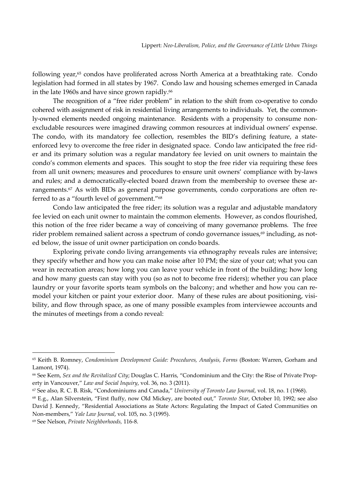following year,<sup>65</sup> condos have proliferated across North America at a breathtaking rate. Condo legislation had formed in all states by 1967. Condo law and housing schemes emerged in Canada in the late 1960s and have since grown rapidly.<sup>66</sup>

The recognition of a "free rider problem" in relation to the shift from co-operative to condo cohered with assignment of risk in residential living arrangements to individuals. Yet, the commonly-owned elements needed ongoing maintenance. Residents with a propensity to consume nonexcludable resources were imagined drawing common resources at individual owners' expense. The condo, with its mandatory fee collection, resembles the BID's defining feature, a stateenforced levy to overcome the free rider in designated space. Condo law anticipated the free rider and its primary solution was a regular mandatory fee levied on unit owners to maintain the condo's common elements and spaces. This sought to stop the free rider via requiring these fees from all unit owners; measures and procedures to ensure unit owners' compliance with by-laws and rules; and a democratically-elected board drawn from the membership to oversee these arrangements.<sup>67</sup> As with BIDs as general purpose governments, condo corporations are often referred to as a "fourth level of government."68

Condo law anticipated the free rider; its solution was a regular and adjustable mandatory fee levied on each unit owner to maintain the common elements. However, as condos flourished, this notion of the free rider became a way of conceiving of many governance problems. The free rider problem remained salient across a spectrum of condo governance issues,<sup>69</sup> including, as noted below, the issue of unit owner participation on condo boards.

Exploring private condo living arrangements via ethnography reveals rules are intensive; they specify whether and how you can make noise after 10 PM; the size of your cat; what you can wear in recreation areas; how long you can leave your vehicle in front of the building; how long and how many guests can stay with you (so as not to become free riders); whether you can place laundry or your favorite sports team symbols on the balcony; and whether and how you can remodel your kitchen or paint your exterior door. Many of these rules are about positioning, visibility, and flow through space, as one of many possible examples from interviewee accounts and the minutes of meetings from a condo reveal:

<sup>65</sup> Keith B. Romney, *Condominium Development Guide: Procedures, Analysis, Forms* (Boston: Warren, Gorham and Lamont, 1974).

<sup>66</sup> See Kern, *Sex and the Revitalized City*; Douglas C. Harris, "Condominium and the City: the Rise of Private Prop‐ erty in Vancouver," *Law and Social Inquiry*, vol. 36, no. 3 (2011).

<sup>67</sup> See also, R. C. B. Risk, "Condominiums and Canada," *University of Toronto Law Journal*, vol. 18, no. 1 (1968).

<sup>68</sup> E.g., Alan Silverstein, "First fluffy, now Old Mickey, are booted out," *Toronto Star*, October 10, 1992; see also David J. Kennedy, "Residential Associations as State Actors: Regulating the Impact of Gated Communities on Non‐members," *Yale Law Journal*, vol. 105, no. 3 (1995).

<sup>69</sup> See Nelson, *Private Neighborhoods,* 116‐8.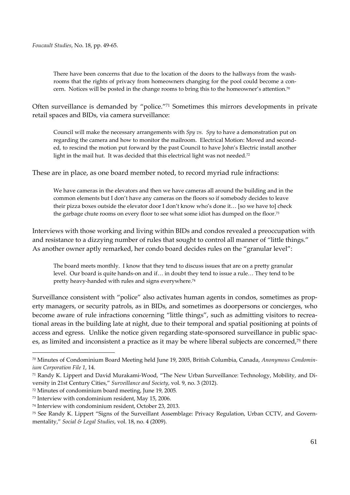There have been concerns that due to the location of the doors to the hallways from the washrooms that the rights of privacy from homeowners changing for the pool could become a concern. Notices will be posted in the change rooms to bring this to the homeowner's attention.70

Often surveillance is demanded by "police."71 Sometimes this mirrors developments in private retail spaces and BIDs, via camera surveillance:

Council will make the necessary arrangements with *Spy vs. Spy* to have a demonstration put on regarding the camera and how to monitor the mailroom. Electrical Motion: Moved and second‐ ed, to rescind the motion put forward by the past Council to have John's Electric install another light in the mail hut. It was decided that this electrical light was not needed.<sup>72</sup>

These are in place, as one board member noted, to record myriad rule infractions:

We have cameras in the elevators and then we have cameras all around the building and in the common elements but I don't have any cameras on the floors so if somebody decides to leave their pizza boxes outside the elevator door I don't know who's done it… [so we have to] check the garbage chute rooms on every floor to see what some idiot has dumped on the floor.<sup>73</sup>

Interviews with those working and living within BIDs and condos revealed a preoccupation with and resistance to a dizzying number of rules that sought to control all manner of "little things." As another owner aptly remarked, her condo board decides rules on the "granular level":

The board meets monthly. I know that they tend to discuss issues that are on a pretty granular level. Our board is quite hands‐on and if… in doubt they tend to issue a rule… They tend to be pretty heavy-handed with rules and signs everywhere.<sup>74</sup>

Surveillance consistent with "police" also activates human agents in condos, sometimes as property managers, or security patrols, as in BIDs, and sometimes as doorpersons or concierges, who become aware of rule infractions concerning "little things", such as admitting visitors to recreational areas in the building late at night, due to their temporal and spatial positioning at points of access and egress. Unlike the notice given regarding state-sponsored surveillance in public spaces, as limited and inconsistent a practice as it may be where liberal subjects are concerned,75 there

<sup>70</sup> Minutes of Condominium Board Meeting held June 19, 2005, British Columbia, Canada, *Anonymous Condomin‐ ium Corporation File 1*, 14.

<sup>71</sup> Randy K. Lippert and David Murakami‐Wood, "The New Urban Surveillance: Technology, Mobility, and Di‐ versity in 21st Century Cities," *Surveillance and Society*, vol. 9, no. 3 (2012).

<sup>72</sup> Minutes of condominium board meeting, June 19, 2005*.*

<sup>73</sup> Interview with condominium resident, May 15, 2006.

<sup>74</sup> Interview with condominium resident, October 23, 2013.

<sup>75</sup> See Randy K. Lippert "Signs of the Surveillant Assemblage: Privacy Regulation, Urban CCTV, and Govern‐ mentality," *Social & Legal Studies*, vol. 18, no. 4 (2009).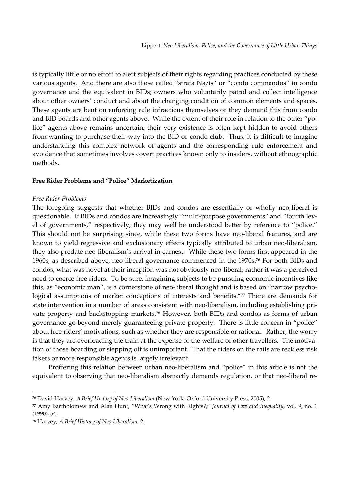is typically little or no effort to alert subjects of their rights regarding practices conducted by these various agents. And there are also those called "strata Nazis" or "condo commandos" in condo governance and the equivalent in BIDs; owners who voluntarily patrol and collect intelligence about other owners' conduct and about the changing condition of common elements and spaces. These agents are bent on enforcing rule infractions themselves or they demand this from condo and BID boards and other agents above. While the extent of their role in relation to the other "police" agents above remains uncertain, their very existence is often kept hidden to avoid others from wanting to purchase their way into the BID or condo club. Thus, it is difficult to imagine understanding this complex network of agents and the corresponding rule enforcement and avoidance that sometimes involves covert practices known only to insiders, without ethnographic methods.

### **Free Rider Problems and "Police" Marketization**

#### *Free Rider Problems*

The foregoing suggests that whether BIDs and condos are essentially or wholly neo‐liberal is questionable. If BIDs and condos are increasingly "multi-purpose governments" and "fourth level of governments," respectively, they may well be understood better by reference to "police." This should not be surprising since, while these two forms have neo-liberal features, and are known to yield regressive and exclusionary effects typically attributed to urban neo-liberalism, they also predate neo‐liberalism's arrival in earnest. While these two forms first appeared in the 1960s, as described above, neo‐liberal governance commenced in the 1970s.76 For both BIDs and condos, what was novel at their inception was not obviously neo‐liberal; rather it was a perceived need to coerce free riders. To be sure, imagining subjects to be pursuing economic incentives like this, as "economic man", is a cornerstone of neo-liberal thought and is based on "narrow psychological assumptions of market conceptions of interests and benefits."77 There are demands for state intervention in a number of areas consistent with neo-liberalism, including establishing private property and backstopping markets.78 However, both BIDs and condos as forms of urban governance go beyond merely guaranteeing private property. There is little concern in "police" about free riders' motivations, such as whether they are responsible or rational. Rather, the worry is that they are overloading the train at the expense of the welfare of other travellers. The motivation of those boarding or stepping off is unimportant. That the riders on the rails are reckless risk takers or more responsible agents is largely irrelevant.

Proffering this relation between urban neo-liberalism and "police" in this article is not the equivalent to observing that neo-liberalism abstractly demands regulation, or that neo-liberal re-

<sup>76</sup> David Harvey, *A Brief History of Neo‐Liberalism* (New York: Oxford University Press, 2005), 2.

<sup>77</sup> Amy Bartholomew and Alan Hunt, "Whatʹs Wrong with Rights?," *Journal of Law and Inequality*, vol. 9, no. 1 (1990), 54.

<sup>78</sup> Harvey, *A Brief History of Neo‐Liberalism,* 2.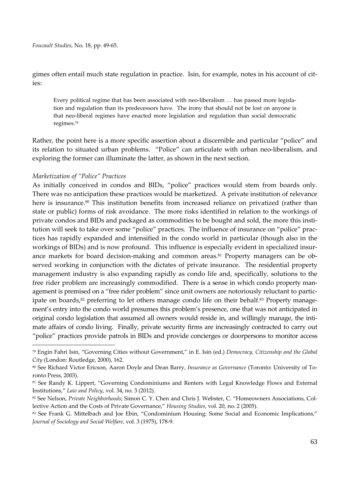*Foucault Studies*, No. 18, pp. 49‐65.

gimes often entail much state regulation in practice. Isin, for example, notes in his account of cities:

Every political regime that has been associated with neo-liberalism ... has passed more legislation and regulation than its predecessors have. The irony that should not be lost on anyone is that neo‐liberal regimes have enacted more legislation and regulation than social democratic regimes.79

Rather, the point here is a more specific assertion about a discernible and particular "police" and its relation to situated urban problems. "Police" can articulate with urban neo-liberalism, and exploring the former can illuminate the latter, as shown in the next section.

## *Marketization of "Police" Practices*

1

As initially conceived in condos and BIDs, "police" practices would stem from boards only. There was no anticipation these practices would be marketized. A private institution of relevance here is insurance.<sup>80</sup> This institution benefits from increased reliance on privatized (rather than state or public) forms of risk avoidance. The more risks identified in relation to the workings of private condos and BIDs and packaged as commodities to be bought and sold, the more this insti‐ tution will seek to take over some "police" practices. The influence of insurance on "police" practices has rapidly expanded and intensified in the condo world in particular (though also in the workings of BIDs) and is now profound. This influence is especially evident in specialized insurance markets for board decision-making and common areas.<sup>81</sup> Property managers can be observed working in conjunction with the dictates of private insurance. The residential property management industry is also expanding rapidly as condo life and, specifically, solutions to the free rider problem are increasingly commodified. There is a sense in which condo property management is premised on a "free rider problem" since unit owners are notoriously reluctant to participate on boards,<sup>82</sup> preferring to let others manage condo life on their behalf.<sup>83</sup> Property management's entry into the condo world presumes this problem's presence, one that was not anticipated in original condo legislation that assumed all owners would reside in, and willingly manage, the intimate affairs of condo living. Finally, private security firms are increasingly contracted to carry out "police" practices provide patrols in BIDs and provide concierges or doorpersons to monitor access

<sup>79</sup> Engin Fahri Isin, "Governing Cities without Government," in E. Isin (ed.) *Democracy, Citizenship and the Global City* (London: Routledge, 2000), 162.

<sup>80</sup> See Richard Victor Ericson, Aaron Doyle and Dean Barry, *Insurance as Governance* (Toronto: University of To‐ ronto Press, 2003).

<sup>81</sup> See Randy K. Lippert, "Governing Condominiums and Renters with Legal Knowledge Flows and External Institutions," *Law and Policy*, vol. 34, no. 3 (2012).

<sup>82</sup> See Nelson, *Private Neighborhoods*; Simon C. Y. Chen and Chris J. Webster, C. "Homeowners Associations, Col‐ lective Action and the Costs of Private Governance," *Housing Studies*, vol. 20, no. 2 (2005).

<sup>83</sup> See Frank G. Mittelbach and Joe Ebin, "Condominium Housing: Some Social and Economic Implications," *Journal of Sociology and Social Welfare*, vol. 3 (1975), 178‐9.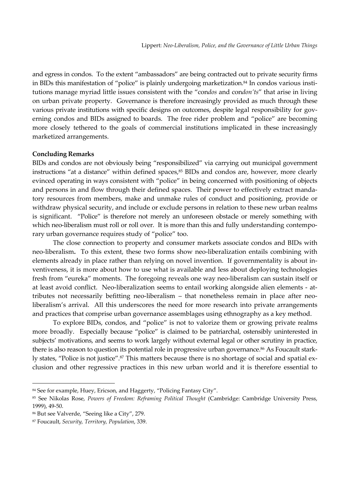and egress in condos. To the extent "ambassadors" are being contracted out to private security firms in BIDs this manifestation of "police" is plainly undergoing marketization.<sup>84</sup> In condos various institutions manage myriad little issues consistent with the "con*dos* and con*don'ts*" that arise in living on urban private property. Governance is therefore increasingly provided as much through these various private institutions with specific designs on outcomes, despite legal responsibility for governing condos and BIDs assigned to boards. The free rider problem and "police" are becoming more closely tethered to the goals of commercial institutions implicated in these increasingly marketized arrangements.

## **Concluding Remarks**

BIDs and condos are not obviously being "responsibilized" via carrying out municipal government instructions "at a distance" within defined spaces, <sup>85</sup> BIDs and condos are, however, more clearly evinced operating in ways consistent with "police" in being concerned with positioning of objects and persons in and flow through their defined spaces. Their power to effectively extract mandatory resources from members, make and unmake rules of conduct and positioning, provide or withdraw physical security, and include or exclude persons in relation to these new urban realms is significant. "Police" is therefore not merely an unforeseen obstacle or merely something with which neo-liberalism must roll or roll over. It is more than this and fully understanding contemporary urban governance requires study of "police" too.

The close connection to property and consumer markets associate condos and BIDs with neo-liberalism. To this extent, these two forms show neo-liberalization entails combining with elements already in place rather than relying on novel invention. If governmentality is about in‐ ventiveness, it is more about how to use what is available and less about deploying technologies fresh from "eureka" moments. The foregoing reveals one way neo-liberalism can sustain itself or at least avoid conflict. Neo-liberalization seems to entail working alongside alien elements - attributes not necessarily befitting neo-liberalism - that nonetheless remain in place after neoliberalism's arrival. All this underscores the need for more research into private arrangements and practices that comprise urban governance assemblages using ethnography as a key method.

To explore BIDs, condos, and "police" is not to valorize them or growing private realms more broadly. Especially because "police" is claimed to be patriarchal, ostensibly uninterested in subjects' motivations, and seems to work largely without external legal or other scrutiny in practice, there is also reason to question its potential role in progressive urban governance.<sup>86</sup> As Foucault starkly states, "Police is not justice".<sup>87</sup> This matters because there is no shortage of social and spatial exclusion and other regressive practices in this new urban world and it is therefore essential to

 $\overline{a}$ 

<sup>84</sup> See for example, Huey, Ericson, and Haggerty, "Policing Fantasy City".

<sup>85</sup> See Nikolas Rose, *Powers of Freedom: Reframing Political Thought* (Cambridge: Cambridge University Press, 1999), 49‐50.

<sup>86</sup> But see Valverde, "Seeing like a City", 279.

<sup>87</sup> Foucault, *Security, Territory, Population*, 339.